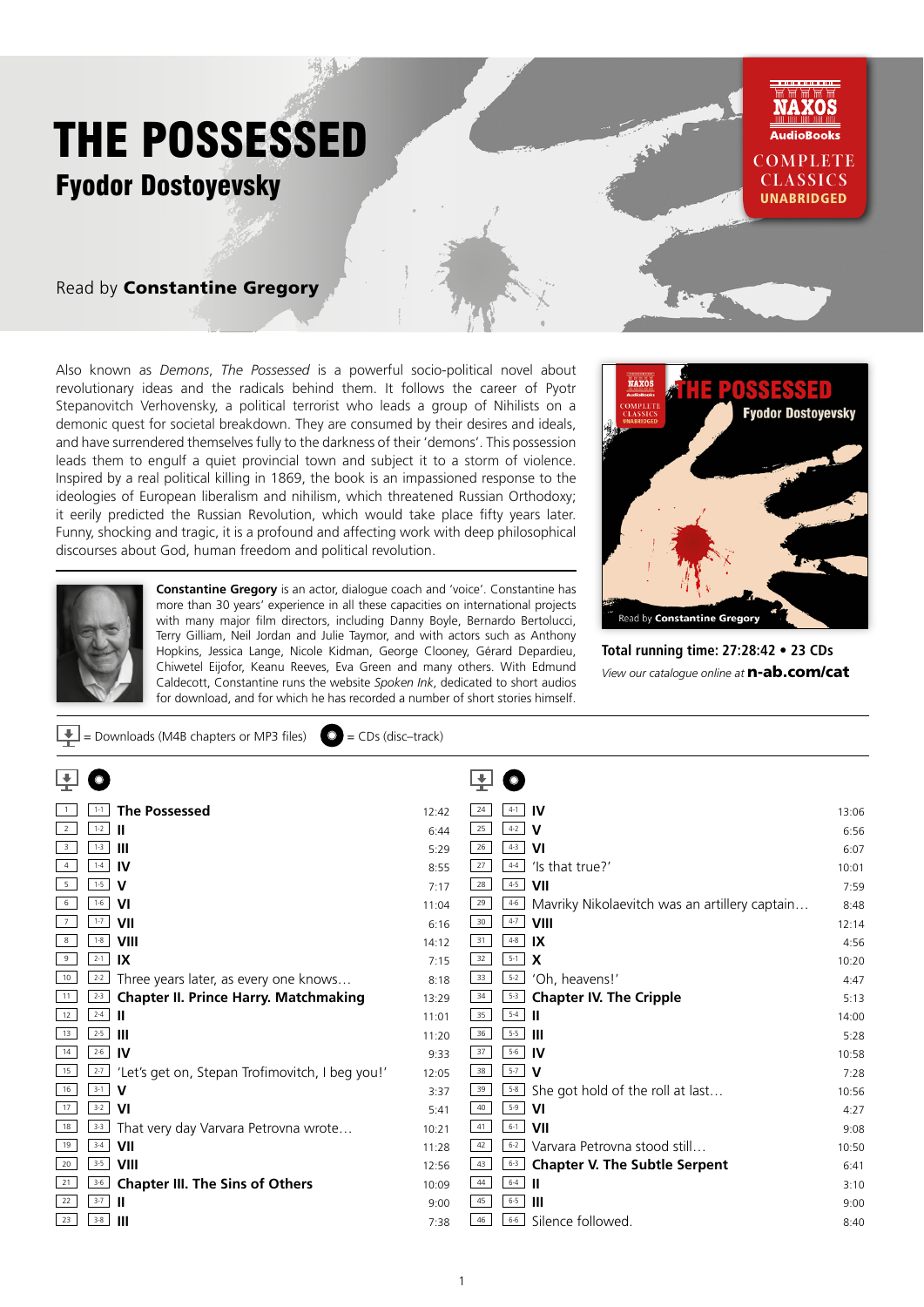

Also known as *Demons*, *The Possessed* is a powerful socio-political novel about revolutionary ideas and the radicals behind them. It follows the career of Pyotr Stepanovitch Verhovensky, a political terrorist who leads a group of Nihilists on a demonic quest for societal breakdown. They are consumed by their desires and ideals, and have surrendered themselves fully to the darkness of their 'demons'. This possession leads them to engulf a quiet provincial town and subject it to a storm of violence. Inspired by a real political killing in 1869, the book is an impassioned response to the ideologies of European liberalism and nihilism, which threatened Russian Orthodoxy; it eerily predicted the Russian Revolution, which would take place fifty years later. Funny, shocking and tragic, it is a profound and affecting work with deep philosophical discourses about God, human freedom and political revolution.

 $\boxed{\bigcup_{i=1}^{\infty}}$  = Downloads (M4B chapters or MP3 files)  $\boxed{O}$  = CDs (disc–track)



**Constantine Gregory** is an actor, dialogue coach and 'voice'. Constantine has more than 30 years' experience in all these capacities on international projects with many major film directors, including Danny Boyle, Bernardo Bertolucci, Terry Gilliam, Neil Jordan and Julie Taymor, and with actors such as Anthony Hopkins, Jessica Lange, Nicole Kidman, George Clooney, Gérard Depardieu, Chiwetel Eijofor, Keanu Reeves, Eva Green and many others. With Edmund Caldecott, Constantine runs the website *Spoken Ink*, dedicated to short audios for download, and for which he has recorded a number of short stories himself.



**Total running time: 27:28:42 • 23 CDs** *View our catalogue online at* n-ab.com/cat

|                         | <b>The Possessed</b><br>$1 - 1$                            | 12:42 | <b>IV</b><br>24<br>$4 - 1$                                     | 13:06 |
|-------------------------|------------------------------------------------------------|-------|----------------------------------------------------------------|-------|
| $\overline{2}$          | $1 - 2$<br>Ш                                               | 6:44  | $4 - 2$<br>25<br>v                                             | 6:56  |
| $\overline{\mathbf{3}}$ | $1-3$<br>Ш                                                 | 5:29  | $4 - 3$<br>26<br><b>VI</b>                                     | 6:07  |
| $\overline{4}$          | $1-4$<br><b>IV</b>                                         | 8:55  | $4 - 4$<br>27<br>'Is that true?'                               | 10:01 |
| 5                       | $1-5$<br>v                                                 | 7:17  | $4 - 5$<br>28<br>VII                                           | 7:59  |
| 6                       | $1-6$<br>VI                                                | 11:04 | 29<br>$4 - 6$<br>Mavriky Nikolaevitch was an artillery captain | 8:48  |
| $7\overline{ }$         | $1 - 7$<br>VII                                             | 6:16  | 30<br>$4 - 7$<br><b>VIII</b>                                   | 12:14 |
| 8                       | $1-8$<br>VIII                                              | 14:12 | $4 - 8$<br>31<br>IX                                            | 4:56  |
| 9                       | $2-1$<br>IX                                                | 7:15  | $5-1$<br>32<br>$\boldsymbol{\mathsf{X}}$                       | 10:20 |
| 10                      | $2-2$<br>Three years later, as every one knows             | 8:18  | $5 - 2$<br>33<br>'Oh, heavens!'                                | 4:47  |
| $\vert$ 11              | $2-3$<br><b>Chapter II. Prince Harry. Matchmaking</b>      | 13:29 | 34<br>$5 - 3$<br><b>Chapter IV. The Cripple</b>                | 5:13  |
| 12                      | $2-4$<br>ш                                                 | 11:01 | $5-4$<br>35<br>H                                               | 14:00 |
| 13                      | $2-5$<br>Ш                                                 | 11:20 | $5 - 5$<br>36<br>-III                                          | 5:28  |
| 14                      | $2-6$<br><b>IV</b>                                         | 9:33  | $5 - 6$<br>37<br><b>IV</b>                                     | 10:58 |
| 15                      | 'Let's get on, Stepan Trofimovitch, I beg you!'<br>$2 - 7$ | 12:05 | $5-7$<br>38<br>v                                               | 7:28  |
| 16                      | $3-1$<br>V                                                 | 3:37  | $5 - 8$<br>39<br>She got hold of the roll at last              | 10:56 |
| 17                      | $3-2$<br><b>VI</b>                                         | 5:41  | $5-9$<br>40<br>VI                                              | 4:27  |
| 18                      | $3-3$<br>That very day Varvara Petrovna wrote              | 10:21 | $6 - 1$<br>41<br>VII                                           | 9:08  |
| 19                      | $3-4$<br>VII                                               | 11:28 | Varvara Petrovna stood still<br>42<br>$6 - 2$                  | 10:50 |
| 20                      | $3-5$<br>VIII                                              | 12:56 | 43<br><b>Chapter V. The Subtle Serpent</b><br>$6 - 3$          | 6:41  |
| 21                      | $3-6$<br><b>Chapter III. The Sins of Others</b>            | 10:09 | $6 - 4$<br>44<br>H                                             | 3:10  |
| 22                      | $3-7$<br>Ш                                                 | 9:00  | $6 - 5$<br>45<br>Ш                                             | 9:00  |
| 23                      | $3-8$<br>Ш                                                 | 7:38  | $6 - 6$<br>Silence followed.<br>46                             | 8:40  |
|                         |                                                            |       |                                                                |       |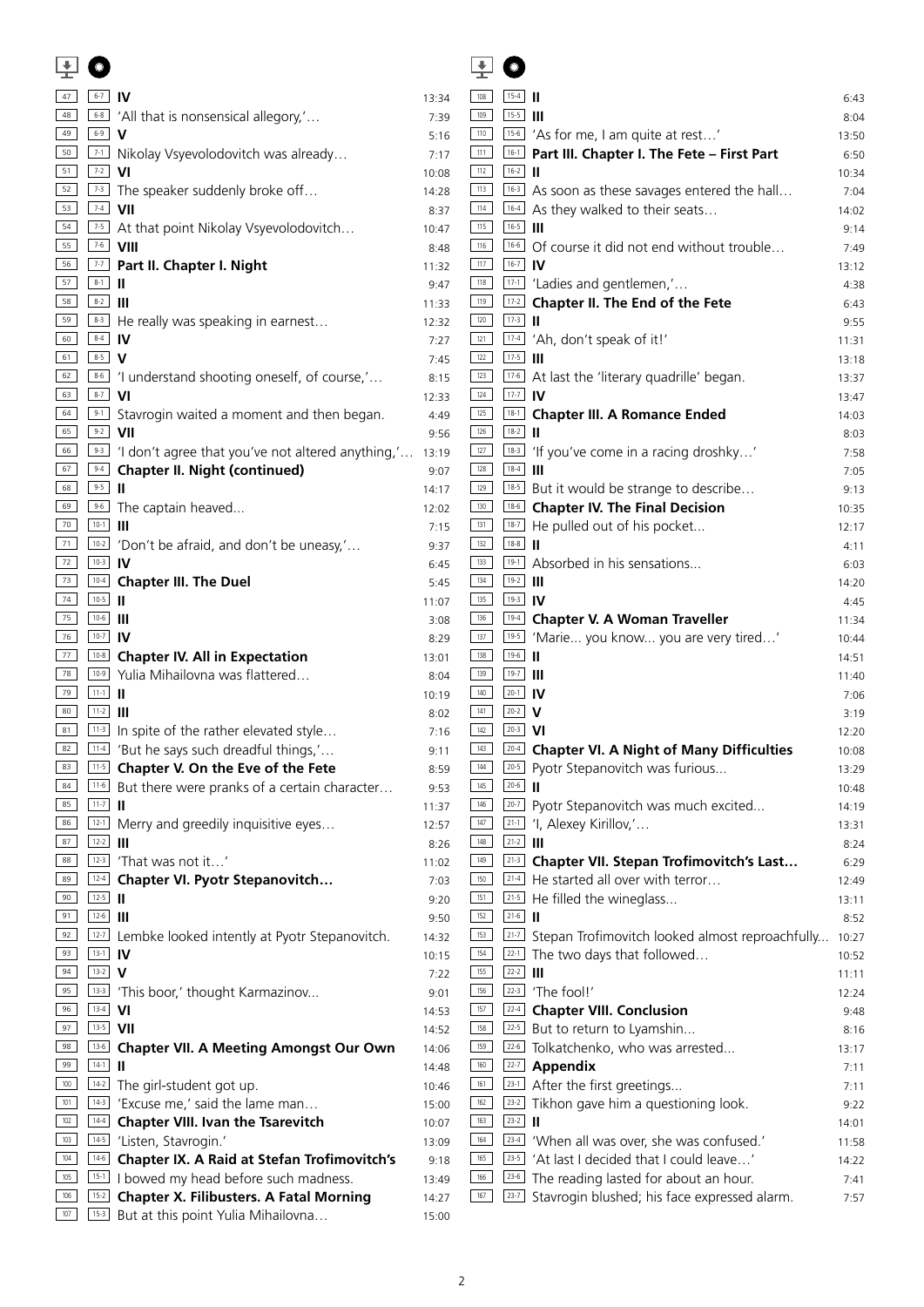|            |                    |                                                                                                     |                | $\pm$        |             |                                                                                         |                |
|------------|--------------------|-----------------------------------------------------------------------------------------------------|----------------|--------------|-------------|-----------------------------------------------------------------------------------------|----------------|
| 47         | $6-7$ IV           |                                                                                                     | 13:34          | 108          | $15-4$      |                                                                                         | 6:43           |
| 48         |                    | <sup>68</sup> 'All that is nonsensical allegory,'                                                   | 7:39           | 109          | $15-5$      |                                                                                         | 8:04           |
| 49         | $6-9$ V            |                                                                                                     | 5:16           | 110          |             | <sup>15-6</sup> 'As for me, I am quite at rest'                                         | 13:50          |
| 50         |                    | [7-1] Nikolay Vsyevolodovitch was already                                                           | 7:17           | 111          |             | <b>DEALLISH: Part III. Chapter I. The Fete - First Part</b>                             | 6:50           |
| 51         | $7-2$ VI           |                                                                                                     | 10:08          | 112          | $16-2$      |                                                                                         | 10:34          |
| 52         |                    | $\boxed{73}$ The speaker suddenly broke off                                                         | 14:28          | 113          |             | $\boxed{16-3}$ As soon as these savages entered the hall                                | 7:04           |
| 53         | $74$ VII           |                                                                                                     | 8:37           | 114          |             | $\lfloor$ <sup>16-4</sup> As they walked to their seats                                 | 14:02          |
| 54         |                    | 7-5 At that point Nikolay Vsyevolodovitch                                                           | 10:47          | 115          | $16-5$      |                                                                                         | 9:14           |
| 55         |                    | $7-6$ VIII                                                                                          | 8:48           | 116          |             | $\boxed{16-6}$ Of course it did not end without trouble                                 | 7:49           |
| 56<br>57   | $8-1$              | <b>DETE:</b> Part II. Chapter I. Night                                                              | 11:32          | 117          | $16-7$ IV   |                                                                                         | 13:12          |
| 58         | $8-2$              |                                                                                                     | 9:47           | 118<br>119   |             | $17-1$ 'Ladies and gentlemen,'                                                          | 4:38           |
| 59         |                    | $\boxed{\frac{8\cdot3}{}}$ He really was speaking in earnest                                        | 11:33          | 120          | $17-3$      | $\boxed{17-2}$ Chapter II. The End of the Fete                                          | 6:43           |
| 60         | $8-4$ IV           |                                                                                                     | 12:32<br>7:27  | 121          |             | 17-4 'Ah, don't speak of it!'                                                           | 9:55<br>11:31  |
| 61         | $8-5$ V            |                                                                                                     | 7:45           | 122          | $17-5$      |                                                                                         | 13:18          |
| 62         |                    | 86 'I understand shooting oneself, of course,'                                                      | 8:15           | 123          |             | $\boxed{17-6}$ At last the 'literary quadrille' began.                                  | 13:37          |
| 63         | $8-7$ VI           |                                                                                                     | 12:33          | $124$        | $17-7$ IV   |                                                                                         | 13:47          |
| 64         |                    | $\boxed{9-1}$ Stavrogin waited a moment and then began.                                             | 4:49           | 125          |             | <b>18-1</b> Chapter III. A Romance Ended                                                | 14:03          |
| 65         | $9-2$ VII          |                                                                                                     | 9:56           | 126          | $18-2$      |                                                                                         | 8:03           |
| 66         |                    | $\boxed{93}$ 'I don't agree that you've not altered anything,' 13:19                                |                | 127          |             | <sup>18-3</sup> 'If you've come in a racing droshky'                                    | 7:58           |
| 67         |                    | <b>94 Chapter II. Night (continued)</b>                                                             | 9:07           | $128$        | $18-4$      |                                                                                         | 7:05           |
| 68         | $9-5$              |                                                                                                     | 14:17          | 129          |             | [18-5] But it would be strange to describe                                              | 9:13           |
| 69         |                    | $\boxed{9.6}$ The captain heaved                                                                    | 12:02          | 130          |             | <sup>186</sup> Chapter IV. The Final Decision                                           | 10:35          |
| 70         | $10-1$             |                                                                                                     | 7:15           | 131          |             | 18-7 He pulled out of his pocket                                                        | 12:17          |
| 71         |                    | $\boxed{10-2}$ 'Don't be afraid, and don't be uneasy,'                                              | 9:37           | 132          | $18-8$      |                                                                                         | 4:11           |
| 72         | $10-3$ IV          |                                                                                                     | 6:45           | 133          |             | 19-1 Absorbed in his sensations                                                         | 6:03           |
| 73         |                    | 10-4 Chapter III. The Duel                                                                          | 5:45           | 134          | $19-2$      |                                                                                         | 14:20          |
| 74         | $10-5$             |                                                                                                     | 11:07          | 135          | $19-3$ IV   |                                                                                         | 4:45           |
| 75         | $10-6$ $  $        |                                                                                                     | 3:08           | 136          |             | <b>L19-4</b> Chapter V. A Woman Traveller                                               | 11:34          |
| 76         | $10-7$ IV          |                                                                                                     | 8:29           | 137          |             | <sup>19-5</sup> 'Marie you know you are very tired'                                     | 10:44          |
| 77         |                    | <b>10-8</b> Chapter IV. All in Expectation                                                          | 13:01          | 138          | $19-6$      |                                                                                         | 14:51          |
| 78         |                    | 10-9 Yulia Mihailovna was flattered                                                                 | 8:04           | 139          | $19-7$      |                                                                                         | 11:40          |
| 79         | $11-1$             |                                                                                                     | 10:19          | 140          | $20-1$ IV   |                                                                                         | 7:06           |
| 80         | $11-2$             |                                                                                                     | 8:02           | 141          | $20-2$ V    |                                                                                         | 3:19           |
| 81<br>82   |                    | [11-3] In spite of the rather elevated style<br><sup>11-4</sup> 'But he says such dreadful things,' | 7:16           | 142<br>$143$ | $20-3$ VI   | [204] Chapter VI. A Night of Many Difficulties                                          | 12:20          |
| 83         | $11-5$             | Chapter V. On the Eve of the Fete                                                                   | 9:11           | 144          | $20-5$      | Pyotr Stepanovitch was furious                                                          | 10:08          |
| 84         | $11-6$             | But there were pranks of a certain character                                                        | 8:59<br>9:53   | 145          | $20-6$      | Ш                                                                                       | 13:29<br>10:48 |
| 85         | $11-7$             |                                                                                                     | 11:37          | 146          | $20-7$      | Pyotr Stepanovitch was much excited                                                     | 14:19          |
| 86         | $12-1$             | Merry and greedily inquisitive eyes                                                                 | 12:57          | 147          | $21-1$      | 'I, Alexey Kirillov,'                                                                   | 13:31          |
| 87         | $12-2$             |                                                                                                     | 8:26           | 148          | $21-2$ $  $ |                                                                                         | 8:24           |
| 88         |                    | $12-3$ 'That was not it'                                                                            | 11:02          | 149          | $21-3$      | Chapter VII. Stepan Trofimovitch's Last                                                 | 6:29           |
| 89         | $12-4$             | <b>Chapter VI. Pyotr Stepanovitch</b>                                                               | 7:03           | 150          | $21-4$      | He started all over with terror                                                         | 12:49          |
| 90         | $12-5$             |                                                                                                     | 9:20           | 151          | $21-5$      | He filled the wineglass                                                                 | 13:11          |
| 91         | $12-6$             |                                                                                                     | 9:50           | 152          | $21-6$      |                                                                                         | 8:52           |
| 92         | $12-7$             | Lembke looked intently at Pyotr Stepanovitch.                                                       | 14:32          | 153          | $21-7$      | Stepan Trofimovitch looked almost reproachfully                                         | 10:27          |
| 93         | $13-1$ IV          |                                                                                                     | 10:15          | 154          | $22-1$      | The two days that followed                                                              | 10:52          |
| 94         | $13-2$ <b>V</b>    |                                                                                                     | 7:22           | 155          | $22-2$      |                                                                                         | 11:11          |
| 95         |                    | <sup>13-3</sup> 'This boor,' thought Karmazinov                                                     | 9:01           | 156          | $22-3$      | 'The fool!'                                                                             | 12:24          |
| 96         | $13-4$ VI          |                                                                                                     | 14:53          | 157          | $22-4$      | <b>Chapter VIII. Conclusion</b>                                                         | 9:48           |
| 97         | $13-5$ VII         |                                                                                                     | 14:52          | 158          | $22-5$      | But to return to Lyamshin                                                               | 8:16           |
| 98         | $13-6$             | <b>Chapter VII. A Meeting Amongst Our Own</b>                                                       | 14:06          | 159          | $22-6$      | Tolkatchenko, who was arrested                                                          | 13:17          |
| 99         | $14-1$             |                                                                                                     | 14:48          | 160          | $22-7$      | Appendix                                                                                | 7:11           |
| 100        | $14-2$             | The girl-student got up.                                                                            | 10:46          | 161          | $23-1$      | After the first greetings                                                               | 7:11           |
| 101        | $14-3$             | 'Excuse me,' said the lame man                                                                      | 15:00          | 162          | $23-2$      | Tikhon gave him a questioning look.                                                     | 9:22           |
| 102<br>103 | $14 - 4$<br>$14-5$ | <b>Chapter VIII. Ivan the Tsarevitch</b>                                                            | 10:07          | 163<br>164   | $23-2$      |                                                                                         | 14:01          |
| 104        | $14-6$             | 'Listen, Stavrogin.'<br><b>Chapter IX. A Raid at Stefan Trofimovitch's</b>                          | 13:09          | 165          | $23-5$      | $23-4$ 'When all was over, she was confused.'<br>'At last I decided that I could leave' | 11:58          |
| 105        | $15-1$             | I bowed my head before such madness.                                                                | 9:18           | 166          |             | $\boxed{23-6}$ The reading lasted for about an hour.                                    | 14:22<br>7:41  |
| 106        | $15-2$             | <b>Chapter X. Filibusters. A Fatal Morning</b>                                                      | 13:49<br>14:27 | 167          | $23-7$      | Stavrogin blushed; his face expressed alarm.                                            | 7:57           |
| 107        | $15-3$             | But at this point Yulia Mihailovna                                                                  | 15:00          |              |             |                                                                                         |                |
|            |                    |                                                                                                     |                |              |             |                                                                                         |                |